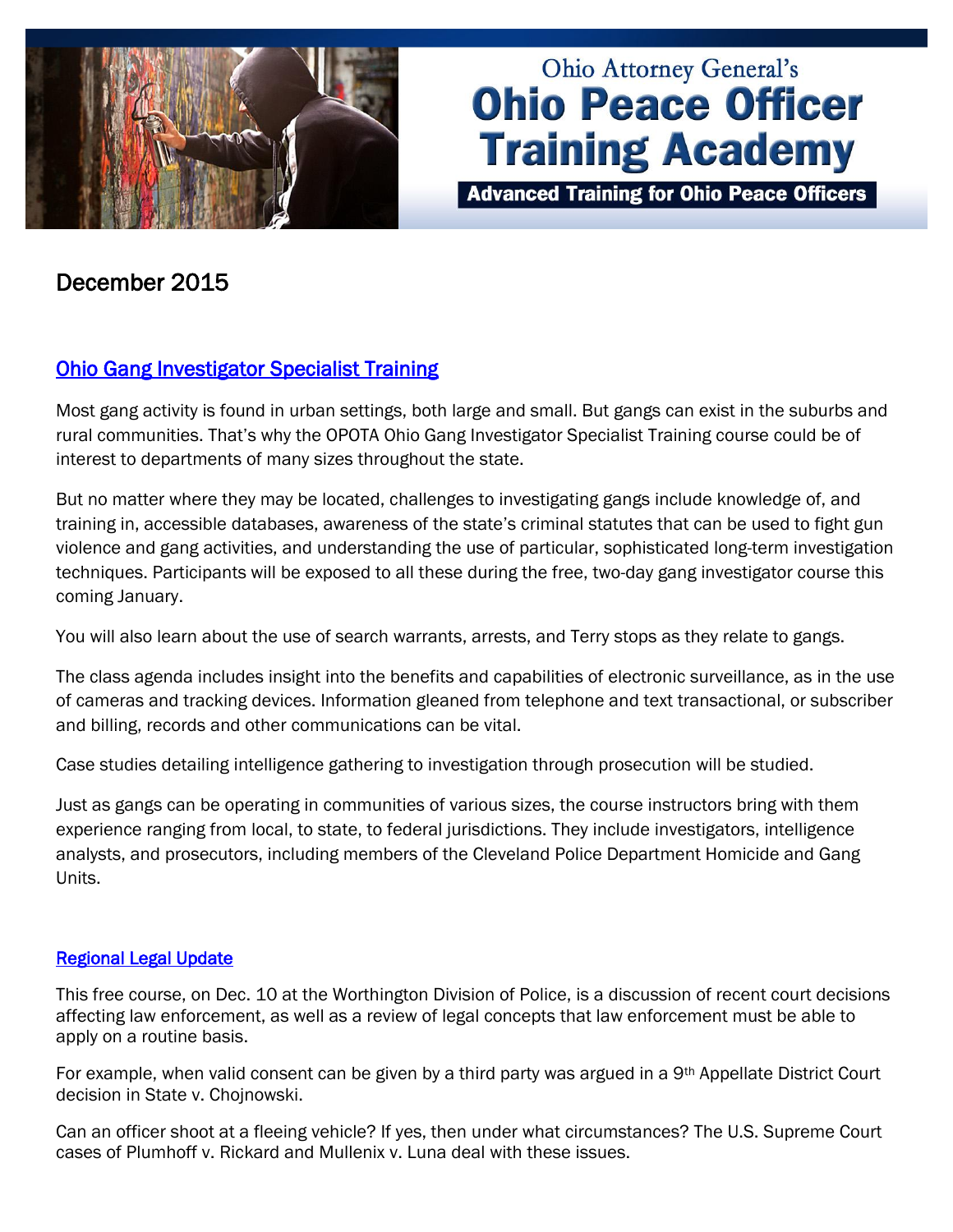

# **Ohio Attorney General's Ohio Peace Officer Training Academy**

**Advanced Training for Ohio Peace Officers** 

## December 2015

## [Ohio Gang Investigator Specialist Training](http://www.ohioattorneygeneral.gov/Law-Enforcement/Ohio-Peace-Officer-Training-Academy/Course-Catalog/Course-Categories/Investigations-Courses#OPOTA862)

Most gang activity is found in urban settings, both large and small. But gangs can exist in the suburbs and rural communities. That's why the OPOTA Ohio Gang Investigator Specialist Training course could be of interest to departments of many sizes throughout the state.

But no matter where they may be located, challenges to investigating gangs include knowledge of, and training in, accessible databases, awareness of the state's criminal statutes that can be used to fight gun violence and gang activities, and understanding the use of particular, sophisticated long-term investigation techniques. Participants will be exposed to all these during the free, two-day gang investigator course this coming January.

You will also learn about the use of search warrants, arrests, and Terry stops as they relate to gangs.

The class agenda includes insight into the benefits and capabilities of electronic surveillance, as in the use of cameras and tracking devices. Information gleaned from telephone and text transactional, or subscriber and billing, records and other communications can be vital.

Case studies detailing intelligence gathering to investigation through prosecution will be studied.

Just as gangs can be operating in communities of various sizes, the course instructors bring with them experience ranging from local, to state, to federal jurisdictions. They include investigators, intelligence analysts, and prosecutors, including members of the Cleveland Police Department Homicide and Gang Units.

#### [Regional Legal Update](http://www.ohioattorneygeneral.gov/Law-Enforcement/Ohio-Peace-Officer-Training-Academy/Course-Catalog/Course-Categories/Legal-Courses#OPOTA594)

This free course, on Dec. 10 at the Worthington Division of Police, is a discussion of recent court decisions affecting law enforcement, as well as a review of legal concepts that law enforcement must be able to apply on a routine basis.

For example, when valid consent can be given by a third party was argued in a 9<sup>th</sup> Appellate District Court decision in State v. Chojnowski.

Can an officer shoot at a fleeing vehicle? If yes, then under what circumstances? The U.S. Supreme Court cases of Plumhoff v. Rickard and Mullenix v. Luna deal with these issues.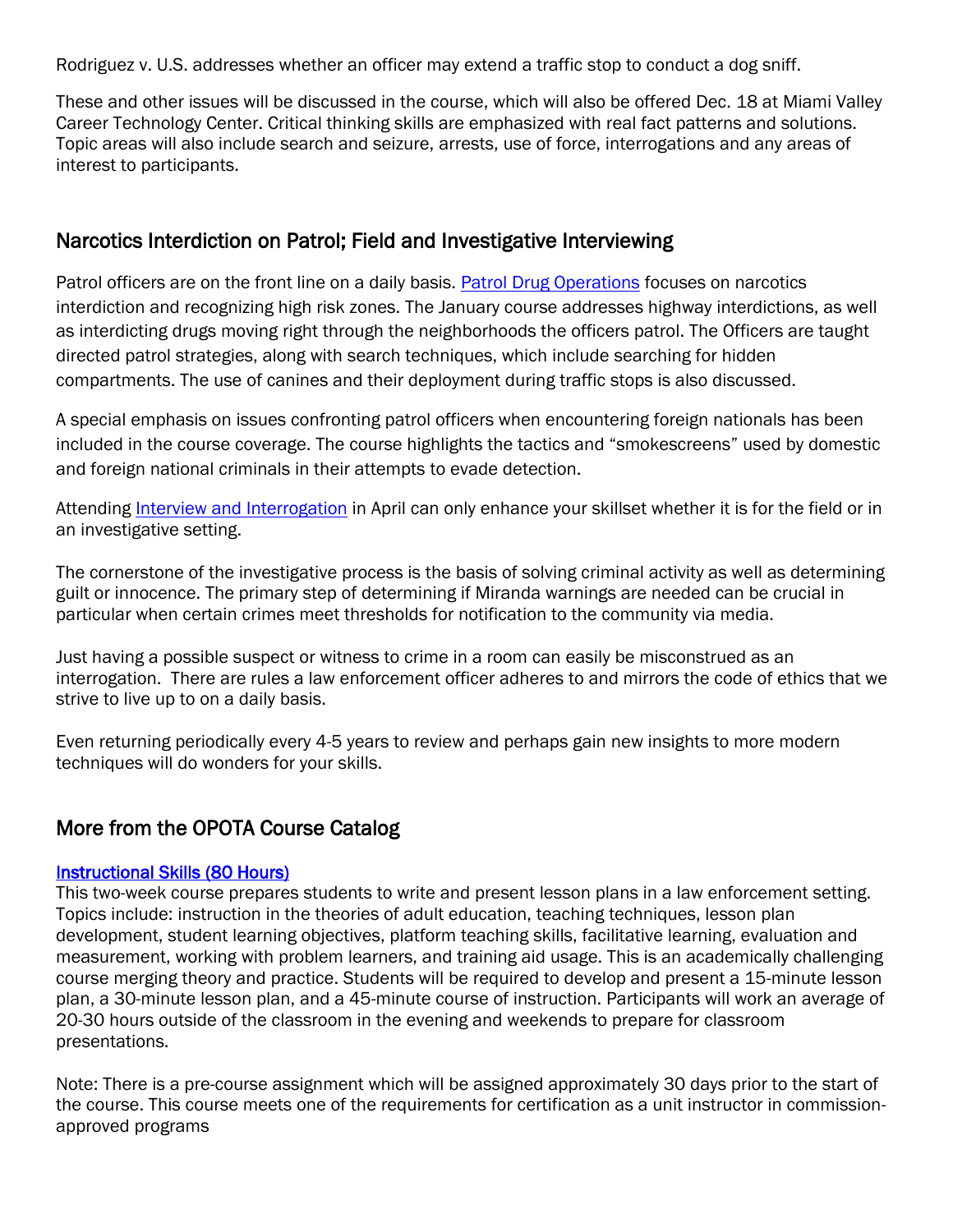Rodriguez v. U.S. addresses whether an officer may extend a traffic stop to conduct a dog sniff.

These and other issues will be discussed in the course, which will also be offered Dec. 18 at Miami Valley Career Technology Center. Critical thinking skills are emphasized with real fact patterns and solutions. Topic areas will also include search and seizure, arrests, use of force, interrogations and any areas of interest to participants.

### Narcotics Interdiction on Patrol; Field and Investigative Interviewing

Patrol officers are on the front line on a daily basis. [Patrol Drug Operations](http://www.ohioattorneygeneral.gov/Law-Enforcement/Ohio-Peace-Officer-Training-Academy/Course-Catalog/Course-Categories/Patrol-Courses#OPOTA62) focuses on narcotics interdiction and recognizing high risk zones. The January course addresses highway interdictions, as well as interdicting drugs moving right through the neighborhoods the officers patrol. The Officers are taught directed patrol strategies, along with search techniques, which include searching for hidden compartments. The use of canines and their deployment during traffic stops is also discussed.

A special emphasis on issues confronting patrol officers when encountering foreign nationals has been included in the course coverage. The course highlights the tactics and "smokescreens" used by domestic and foreign national criminals in their attempts to evade detection.

Attending [Interview and Interrogation](http://www.ohioattorneygeneral.gov/Law-Enforcement/Ohio-Peace-Officer-Training-Academy/Course-Catalog/Course-Search?searchtext=interview&searchmode=anyword) in April can only enhance your skillset whether it is for the field or in an investigative setting.

The cornerstone of the investigative process is the basis of solving criminal activity as well as determining guilt or innocence. The primary step of determining if Miranda warnings are needed can be crucial in particular when certain crimes meet thresholds for notification to the community via media.

Just having a possible suspect or witness to crime in a room can easily be misconstrued as an interrogation. There are rules a law enforcement officer adheres to and mirrors the code of ethics that we strive to live up to on a daily basis.

Even returning periodically every 4-5 years to review and perhaps gain new insights to more modern techniques will do wonders for your skills.

## More from the OPOTA Course Catalog

#### [Instructional Skills \(80 Hours\)](http://www.ohioattorneygeneral.gov/Law-Enforcement/Ohio-Peace-Officer-Training-Academy/Course-Catalog/Course-Categories/Instructor-Training-Courses#OPOTA177)

This two-week course prepares students to write and present lesson plans in a law enforcement setting. Topics include: instruction in the theories of adult education, teaching techniques, lesson plan development, student learning objectives, platform teaching skills, facilitative learning, evaluation and measurement, working with problem learners, and training aid usage. This is an academically challenging course merging theory and practice. Students will be required to develop and present a 15-minute lesson plan, a 30-minute lesson plan, and a 45-minute course of instruction. Participants will work an average of 20-30 hours outside of the classroom in the evening and weekends to prepare for classroom presentations.

Note: There is a pre-course assignment which will be assigned approximately 30 days prior to the start of the course. This course meets one of the requirements for certification as a unit instructor in commissionapproved programs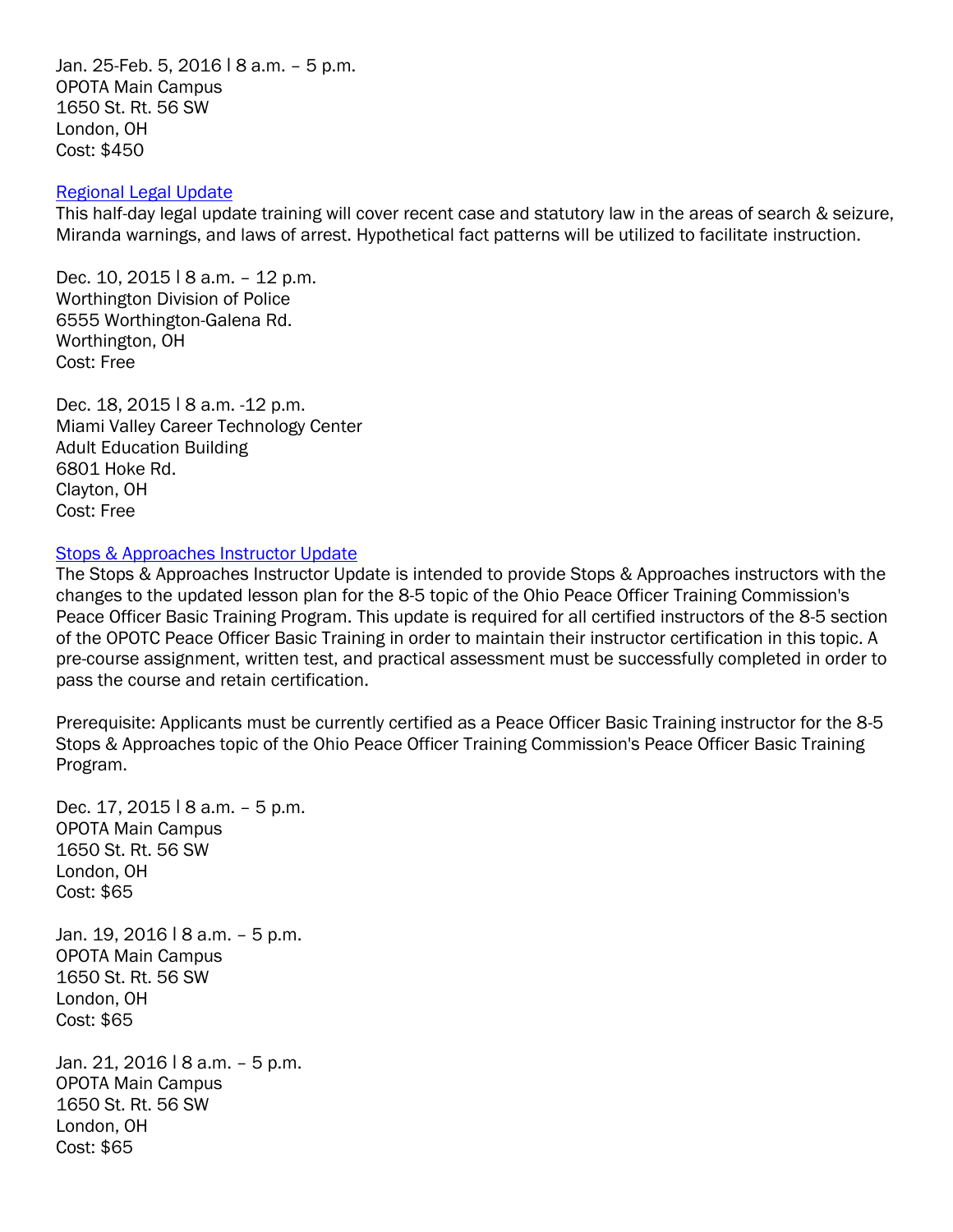Jan. 25-Feb. 5, 2016 ǀ 8 a.m. – 5 p.m. OPOTA Main Campus 1650 St. Rt. 56 SW London, OH Cost: \$450

#### [Regional Legal Update](http://www.ohioattorneygeneral.gov/Law-Enforcement/Ohio-Peace-Officer-Training-Academy/Course-Catalog/Course-Categories/Legal-Courses#OPOTA594)

This half-day legal update training will cover recent case and statutory law in the areas of search & seizure, Miranda warnings, and laws of arrest. Hypothetical fact patterns will be utilized to facilitate instruction.

Dec. 10, 2015 | 8 a.m. - 12 p.m. Worthington Division of Police 6555 Worthington-Galena Rd. Worthington, OH Cost: Free

Dec. 18, 2015 | 8 a.m. -12 p.m. Miami Valley Career Technology Center Adult Education Building 6801 Hoke Rd. Clayton, OH Cost: Free

#### [Stops & Approaches Instructor Update](http://www.ohioattorneygeneral.gov/Law-Enforcement/Ohio-Peace-Officer-Training-Academy/Course-Catalog/Course-Categories/Instructor-Training-Courses#OPOTA786)

The Stops & Approaches Instructor Update is intended to provide Stops & Approaches instructors with the changes to the updated lesson plan for the 8-5 topic of the Ohio Peace Officer Training Commission's Peace Officer Basic Training Program. This update is required for all certified instructors of the 8-5 section of the OPOTC Peace Officer Basic Training in order to maintain their instructor certification in this topic. A pre-course assignment, written test, and practical assessment must be successfully completed in order to pass the course and retain certification.

Prerequisite: Applicants must be currently certified as a Peace Officer Basic Training instructor for the 8-5 Stops & Approaches topic of the Ohio Peace Officer Training Commission's Peace Officer Basic Training Program.

Dec. 17, 2015 | 8 a.m. - 5 p.m. OPOTA Main Campus 1650 St. Rt. 56 SW London, OH Cost: \$65

Jan. 19, 2016 | 8 a.m. - 5 p.m. OPOTA Main Campus 1650 St. Rt. 56 SW London, OH Cost: \$65

Jan. 21, 2016 ǀ 8 a.m. – 5 p.m. OPOTA Main Campus 1650 St. Rt. 56 SW London, OH Cost: \$65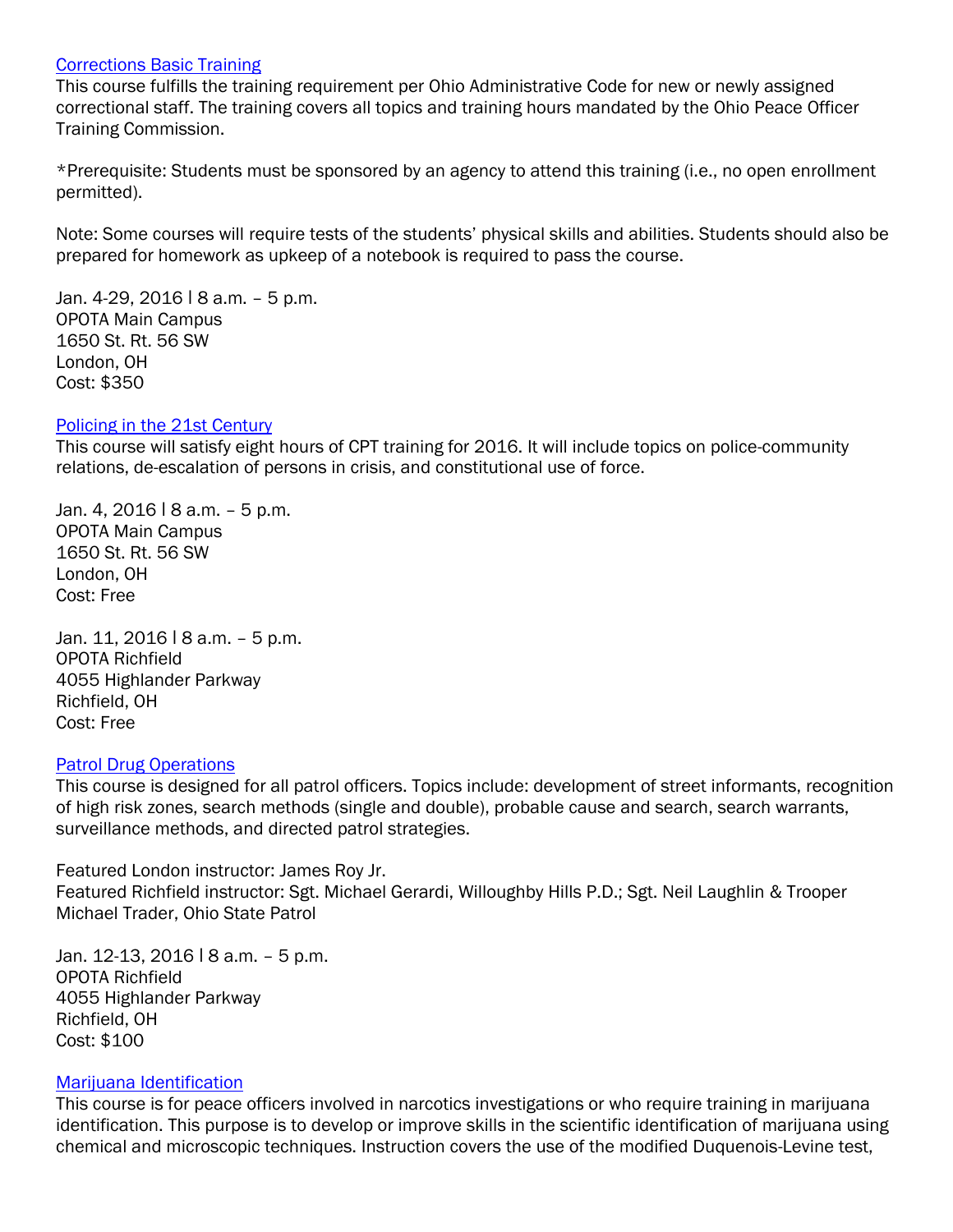#### [Corrections Basic Training](http://www.ohioattorneygeneral.gov/Law-Enforcement/Ohio-Peace-Officer-Training-Academy/Course-Catalog/Course-Categories/Corrections-Courses#OPOTA24)

This course fulfills the training requirement per Ohio Administrative Code for new or newly assigned correctional staff. The training covers all topics and training hours mandated by the Ohio Peace Officer Training Commission.

\*Prerequisite: Students must be sponsored by an agency to attend this training (i.e., no open enrollment permitted).

Note: Some courses will require tests of the students' physical skills and abilities. Students should also be prepared for homework as upkeep of a notebook is required to pass the course.

Jan. 4-29, 2016 | 8 a.m. - 5 p.m. OPOTA Main Campus 1650 St. Rt. 56 SW London, OH Cost: \$350

#### [Policing in the 21st Century](http://www.ohioattorneygeneral.gov/Law-Enforcement/Ohio-Peace-Officer-Training-Academy/Course-Catalog/Course-Categories/Basic-Training-Courses-(1))

This course will satisfy eight hours of CPT training for 2016. It will include topics on police-community relations, de-escalation of persons in crisis, and constitutional use of force.

Jan. 4, 2016 | 8 a.m. - 5 p.m. OPOTA Main Campus 1650 St. Rt. 56 SW London, OH Cost: Free

Jan. 11, 2016 | 8 a.m. - 5 p.m. OPOTA Richfield 4055 Highlander Parkway Richfield, OH Cost: Free

#### [Patrol Drug Operations](http://www.ohioattorneygeneral.gov/Law-Enforcement/Ohio-Peace-Officer-Training-Academy/Course-Catalog/Course-Categories/Patrol-Courses#OPOTA62)

This course is designed for all patrol officers. Topics include: development of street informants, recognition of high risk zones, search methods (single and double), probable cause and search, search warrants, surveillance methods, and directed patrol strategies.

Featured London instructor: James Roy Jr. Featured Richfield instructor: Sgt. Michael Gerardi, Willoughby Hills P.D.; Sgt. Neil Laughlin & Trooper Michael Trader, Ohio State Patrol

Jan. 12-13, 2016 | 8 a.m. - 5 p.m. OPOTA Richfield 4055 Highlander Parkway Richfield, OH Cost: \$100

#### [Marijuana Identification](http://www.ohioattorneygeneral.gov/Law-Enforcement/Ohio-Peace-Officer-Training-Academy/Course-Catalog/Course-Categories/Crime-Scene-Courses#OPOTA169)

This course is for peace officers involved in narcotics investigations or who require training in marijuana identification. This purpose is to develop or improve skills in the scientific identification of marijuana using chemical and microscopic techniques. Instruction covers the use of the modified Duquenois-Levine test,